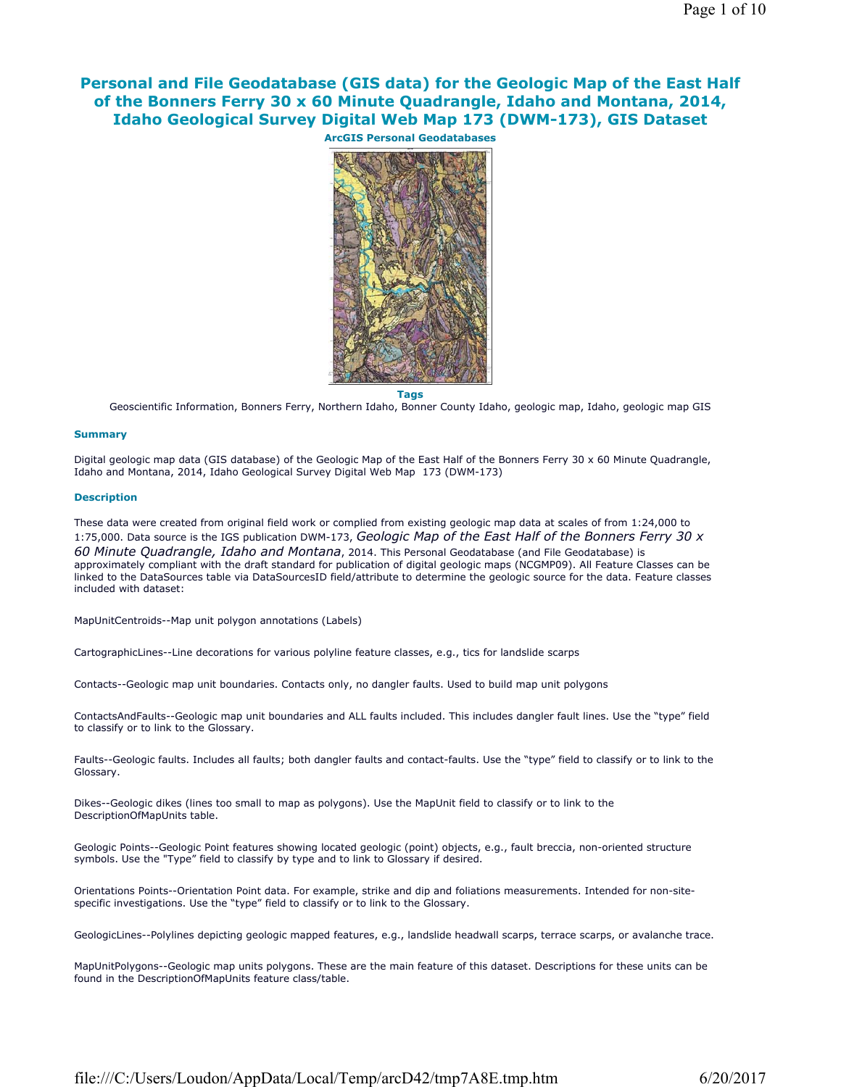# **Personal and File Geodatabase (GIS data) for the Geologic Map of the East Half of the Bonners Ferry 30 x 60 Minute Quadrangle, Idaho and Montana, 2014, Idaho Geological Survey Digital Web Map 173 (DWM-173), GIS Dataset**



**Tags**

Geoscientific Information, Bonners Ferry, Northern Idaho, Bonner County Idaho, geologic map, Idaho, geologic map GIS

## **Summary**

Digital geologic map data (GIS database) of the Geologic Map of the East Half of the Bonners Ferry 30 x 60 Minute Quadrangle, Idaho and Montana, 2014, Idaho Geological Survey Digital Web Map 173 (DWM-173)

## **Description**

These data were created from original field work or complied from existing geologic map data at scales of from 1:24,000 to 1:75,000. Data source is the IGS publication DWM-173, *Geologic Map of the East Half of the Bonners Ferry 30 x 60 Minute Quadrangle, Idaho and Montana*, 2014. This Personal Geodatabase (and File Geodatabase) is approximately compliant with the draft standard for publication of digital geologic maps (NCGMP09). All Feature Classes can be linked to the DataSources table via DataSourcesID field/attribute to determine the geologic source for the data. Feature classes included with dataset:

MapUnitCentroids--Map unit polygon annotations (Labels)

CartographicLines--Line decorations for various polyline feature classes, e.g., tics for landslide scarps

Contacts--Geologic map unit boundaries. Contacts only, no dangler faults. Used to build map unit polygons

ContactsAndFaults--Geologic map unit boundaries and ALL faults included. This includes dangler fault lines. Use the "type" field to classify or to link to the Glossary.

Faults--Geologic faults. Includes all faults; both dangler faults and contact-faults. Use the "type" field to classify or to link to the Glossary.

Dikes--Geologic dikes (lines too small to map as polygons). Use the MapUnit field to classify or to link to the DescriptionOfMapUnits table.

Geologic Points--Geologic Point features showing located geologic (point) objects, e.g., fault breccia, non-oriented structure symbols. Use the "Type" field to classify by type and to link to Glossary if desired.

Orientations Points--Orientation Point data. For example, strike and dip and foliations measurements. Intended for non-sitespecific investigations. Use the "type" field to classify or to link to the Glossary.

GeologicLines--Polylines depicting geologic mapped features, e.g., landslide headwall scarps, terrace scarps, or avalanche trace.

MapUnitPolygons--Geologic map units polygons. These are the main feature of this dataset. Descriptions for these units can be found in the DescriptionOfMapUnits feature class/table.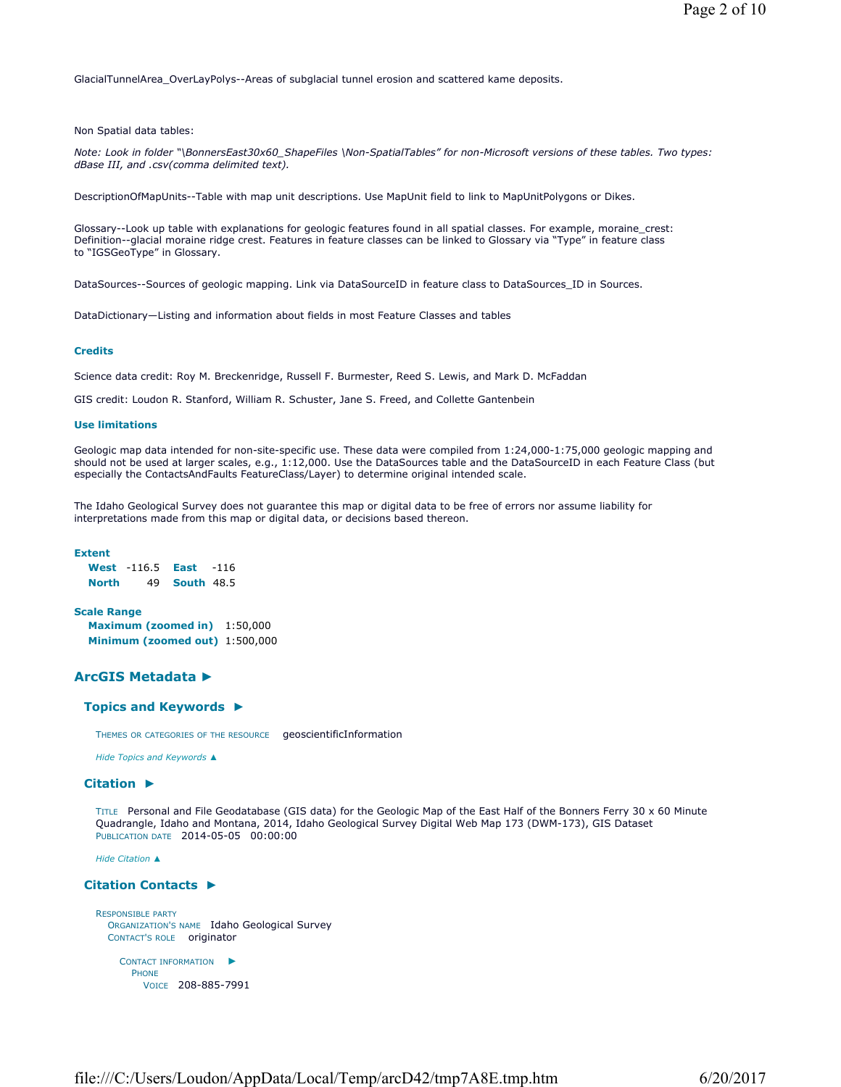GlacialTunnelArea\_OverLayPolys--Areas of subglacial tunnel erosion and scattered kame deposits.

Non Spatial data tables:

*Note: Look in folder "\BonnersEast30x60\_ShapeFiles \Non-SpatialTables" for non-Microsoft versions of these tables. Two types: dBase III, and .csv(comma delimited text).* 

DescriptionOfMapUnits--Table with map unit descriptions. Use MapUnit field to link to MapUnitPolygons or Dikes.

Glossary--Look up table with explanations for geologic features found in all spatial classes. For example, moraine\_crest: Definition--glacial moraine ridge crest. Features in feature classes can be linked to Glossary via "Type" in feature class to "IGSGeoType" in Glossary.

DataSources--Sources of geologic mapping. Link via DataSourceID in feature class to DataSources\_ID in Sources.

DataDictionary—Listing and information about fields in most Feature Classes and tables

## **Credits**

Science data credit: Roy M. Breckenridge, Russell F. Burmester, Reed S. Lewis, and Mark D. McFaddan

GIS credit: Loudon R. Stanford, William R. Schuster, Jane S. Freed, and Collette Gantenbein

## **Use limitations**

Geologic map data intended for non-site-specific use. These data were compiled from 1:24,000-1:75,000 geologic mapping and should not be used at larger scales, e.g., 1:12,000. Use the DataSources table and the DataSourceID in each Feature Class (but especially the ContactsAndFaults FeatureClass/Layer) to determine original intended scale.

The Idaho Geological Survey does not guarantee this map or digital data to be free of errors nor assume liability for interpretations made from this map or digital data, or decisions based thereon.

#### **Extent**

|              | <b>West</b> $-116.5$ | East                 | $-116$ |
|--------------|----------------------|----------------------|--------|
| <b>North</b> |                      | 49 <b>South</b> 48.5 |        |

## **Scale Range Maximum (zoomed in)** 1:50,000 **Minimum (zoomed out)** 1:500,000

## **ArcGIS Metadata ►**

## **Topics and Keywords ►**

THEMES OR CATEGORIES OF THE RESOURCE geoscientificInformation

*Hide Topics and Keywords ▲*

## **Citation ►**

TITLE Personal and File Geodatabase (GIS data) for the Geologic Map of the East Half of the Bonners Ferry 30 x 60 Minute Quadrangle, Idaho and Montana, 2014, Idaho Geological Survey Digital Web Map 173 (DWM-173), GIS Dataset PUBLICATION DATE 2014-05-05 00:00:00

```
Hide Citation ▲
```
## **Citation Contacts ►**

```
RESPONSIBLE PARTY
  ORGANIZATION'S NAME Idaho Geological Survey 
  CONTACT'S ROLE originator
     CONTACT INFORMATION
►
      PHONE
        VOICE 208-885-7991
```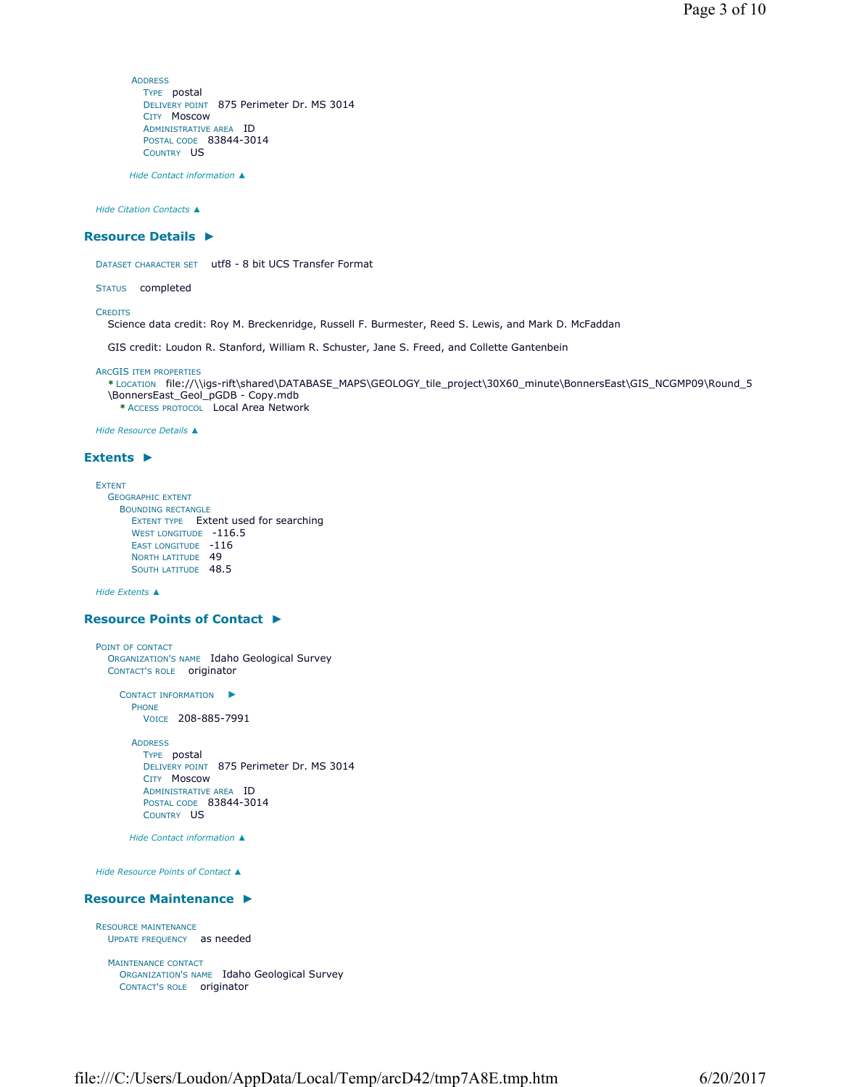**ADDRESS** TYPE postal DELIVERY POINT 875 Perimeter Dr. MS 3014 CITY Moscow ADMINISTRATIVE AREA ID POSTAL CODE 83844-3014 COUNTRY US

*Hide Contact information ▲*

*Hide Citation Contacts ▲*

## **Resource Details ►**

DATASET CHARACTER SET utf8 - 8 bit UCS Transfer Format

STATUS completed

**CREDITS** 

Science data credit: Roy M. Breckenridge, Russell F. Burmester, Reed S. Lewis, and Mark D. McFaddan

GIS credit: Loudon R. Stanford, William R. Schuster, Jane S. Freed, and Collette Gantenbein

ARCGIS ITEM PROPERTIES

```
* LOCATION file://\\igs-rift\shared\DATABASE_MAPS\GEOLOGY_tile_project\30X60_minute\BonnersEast\GIS_NCGMP09\Round_5
\BonnersEast_Geol_pGDB - Copy.mdb 
  * ACCESS PROTOCOL Local Area Network
```
*Hide Resource Details ▲*

## **Extents ►**

```
EXTENT
  GEOGRAPHIC EXTENT
    BOUNDING RECTANGLE
      EXTENT TYPE Extent used for searching 
      WEST LONGITUDE -116.5
      EAST LONGITUDE -116
      NORTH LATITUDE 49
      SOUTH LATITUDE 48.5
```
*Hide Extents ▲*

## **Resource Points of Contact ►**

POINT OF CONTACT ORGANIZATION'S NAME Idaho Geological Survey CONTACT'S ROLE originator

> CONTACT INFORMATION ► PHONE VOICE 208-885-7991

ADDRESS TYPE postal DELIVERY POINT 875 Perimeter Dr. MS 3014 CITY Moscow ADMINISTRATIVE AREA ID POSTAL CODE 83844-3014 COUNTRY US

*Hide Contact information ▲*

*Hide Resource Points of Contact ▲*

## **Resource Maintenance ►**

```
RESOURCE MAINTENANCE
  UPDATE FREQUENCY as needed
```
MAINTENANCE CONTACT ORGANIZATION'S NAME Idaho Geological Survey CONTACT'S ROLE originator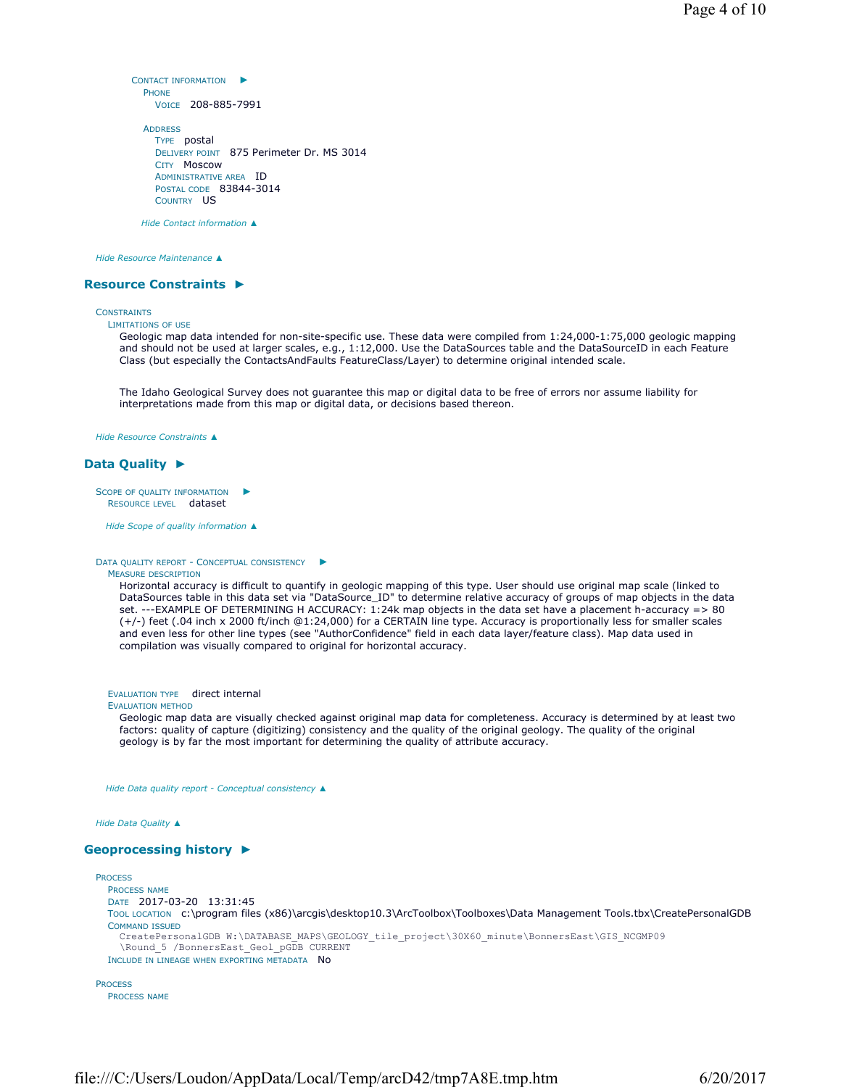```
CONTACT INFORMATION
►
 PHONE
   VOICE 208-885-7991
```

```
ADDRESS
 TYPE postal 
 DELIVERY POINT 875 Perimeter Dr. MS 3014 
 CITY Moscow 
 ADMINISTRATIVE AREA ID 
 POSTAL CODE 83844-3014 
 COUNTRY US
```
*Hide Contact information ▲*

*Hide Resource Maintenance ▲*

## **Resource Constraints ►**

#### **CONSTRAINTS**

LIMITATIONS OF USE

Geologic map data intended for non-site-specific use. These data were compiled from 1:24,000-1:75,000 geologic mapping and should not be used at larger scales, e.g., 1:12,000. Use the DataSources table and the DataSourceID in each Feature Class (but especially the ContactsAndFaults FeatureClass/Layer) to determine original intended scale.

The Idaho Geological Survey does not guarantee this map or digital data to be free of errors nor assume liability for interpretations made from this map or digital data, or decisions based thereon.

*Hide Resource Constraints ▲*

## **Data Quality ►**

```
SCOPE OF QUALITY INFORMATION
  RESOURCE LEVEL dataset
                             ►
```
*Hide Scope of quality information ▲*

#### DATA QUALITY REPORT - CONCEPTUAL CONSISTENCY ►

#### MEASURE DESCRIPTION

Horizontal accuracy is difficult to quantify in geologic mapping of this type. User should use original map scale (linked to DataSources table in this data set via "DataSource\_ID" to determine relative accuracy of groups of map objects in the data set. ---EXAMPLE OF DETERMINING H ACCURACY: 1:24k map objects in the data set have a placement h-accuracy => 80 (+/-) feet (.04 inch x 2000 ft/inch @1:24,000) for a CERTAIN line type. Accuracy is proportionally less for smaller scales and even less for other line types (see "AuthorConfidence" field in each data layer/feature class). Map data used in compilation was visually compared to original for horizontal accuracy.

EVALUATION TYPE direct internal

## EVALUATION METHOD

Geologic map data are visually checked against original map data for completeness. Accuracy is determined by at least two factors: quality of capture (digitizing) consistency and the quality of the original geology. The quality of the original geology is by far the most important for determining the quality of attribute accuracy.

*Hide Data quality report - Conceptual consistency ▲*

*Hide Data Quality ▲*

## **Geoprocessing history ►**

```
PROCESS
  PROCESS NAME
  DATE 2017-03-20 13:31:45 
  TOOL LOCATION c:\program files (x86)\arcgis\desktop10.3\ArcToolbox\Toolboxes\Data Management Tools.tbx\CreatePersonalGDB 
  COMMAND ISSUED
    CreatePersonalGDB W:\DATABASE_MAPS\GEOLOGY_tile_project\30X60_minute\BonnersEast\GIS_NCGMP09
    \Round_5 /BonnersEast_Geol_pGDB CURRENT
  INCLUDE IN LINEAGE WHEN EXPORTING METADATA NO
PROCESS
```

```
PROCESS NAME
```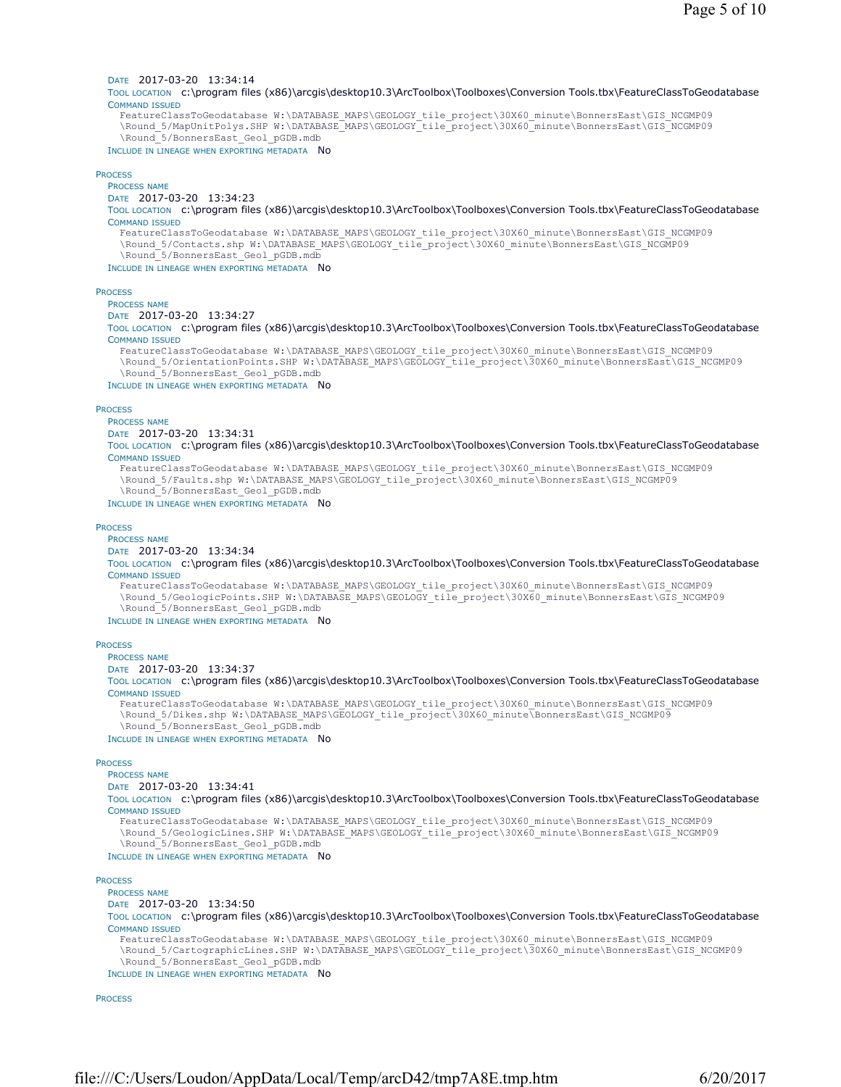## DATE 2017-03-20 13:34:14

TOOL LOCATION c:\program files (x86)\arcgis\desktop10.3\ArcToolbox\Toolboxes\Conversion Tools.tbx\FeatureClassToGeodatabase COMMAND ISSUED

FeatureClassToGeodatabase W:\DATABASE\_MAPS\GEOLOGY\_tile\_project\30X60\_minute\BonnersEast\GIS\_NCGMP09 \Round\_5/MapUnitPolys.SHP W:\DATABASE\_MAPS\GEOLOGY\_tile\_project\30X60\_minute\BonnersEast\GIS\_NCGMP09 \Round\_5/BonnersEast\_Geol\_pGDB.mdb

INCLUDE IN LINEAGE WHEN EXPORTING METADATA NO

#### PROCESS

PROCESS NAME

## DATE 2017-03-20 13:34:23

TOOL LOCATION c:\program files (x86)\arcgis\desktop10.3\ArcToolbox\Toolboxes\Conversion Tools.tbx\FeatureClassToGeodatabase COMMAND ISSUED

FeatureClassToGeodatabase W:\DATABASE\_MAPS\GEOLOGY\_tile\_project\30X60\_minute\BonnersEast\GIS\_NCGMP09 \Round\_5/Contacts.shp W:\DATABASE\_MAPS\GEOLOGY\_tile\_project\30X60\_minute\BonnersEast\GIS\_NCGMP09 \Round\_5/BonnersEast\_Geol\_pGDB.mdb

#### INCLUDE IN LINEAGE WHEN EXPORTING METADATA NO

### **PROCESS**

PROCESS NAME

# DATE 2017-03-20 13:34:27

TOOL LOCATION c:\program files (x86)\arcgis\desktop10.3\ArcToolbox\Toolboxes\Conversion Tools.tbx\FeatureClassToGeodatabase COMMAND ISSUED

FeatureClassToGeodatabase W:\DATABASE\_MAPS\GEOLOGY\_tile\_project\30X60\_minute\BonnersEast\GIS\_NCGMP09 \Round\_5/OrientationPoints.SHP W:\DATABASE\_MAPS\GEOLOGY\_tile\_project\30X60\_minute\BonnersEast\GIS\_NCGMP09 \Round\_5/BonnersEast\_Geol\_pGDB.mdb

### INCLUDE IN LINEAGE WHEN EXPORTING METADATA NO

#### **PROCESS**

PROCESS NAME

DATE 2017-03-20 13:34:31

TOOL LOCATION c:\program files (x86)\arcgis\desktop10.3\ArcToolbox\Toolboxes\Conversion Tools.tbx\FeatureClassToGeodatabase COMMAND ISSUED

FeatureClassToGeodatabase W:\DATABASE\_MAPS\GEOLOGY\_tile\_project\30X60\_minute\BonnersEast\GIS\_NCGMP09 \Round\_5/Faults.shp W:\DATABASE\_MAPS\GEOLOGY\_tile\_project\30X60\_minute\BonnersEast\GIS\_NCGMP09 \Round\_5/BonnersEast\_Geol\_pGDB.mdb

## INCLUDE IN LINEAGE WHEN EXPORTING METADATA NO

### **PROCESS**

PROCESS NAME DATE 2017-03-20 13:34:34

TOOL LOCATION c:\program files (x86)\arcgis\desktop10.3\ArcToolbox\Toolboxes\Conversion Tools.tbx\FeatureClassToGeodatabase COMMAND ISSUED

FeatureClassToGeodatabase W:\DATABASE\_MAPS\GEOLOGY\_tile\_project\30X60\_minute\BonnersEast\GIS\_NCGMP09 \Round\_5/GeologicPoints.SHP W:\DATABASE\_MAPS\GEOLOGY\_tile\_project\30X60\_minute\BonnersEast\GIS\_NCGMP09 \Round\_5/BonnersEast\_Geol\_pGDB.mdb

#### INCLUDE IN LINEAGE WHEN EXPORTING METADATA NO

#### **PROCESS**

PROCESS NAME

```
DATE 2017-03-20 13:34:37
```
TOOL LOCATION c:\program files (x86)\arcgis\desktop10.3\ArcToolbox\Toolboxes\Conversion Tools.tbx\FeatureClassToGeodatabase COMMAND ISSUED

FeatureClassToGeodatabase W:\DATABASE\_MAPS\GEOLOGY\_tile\_project\30X60\_minute\BonnersEast\GIS\_NCGMP09 \Round\_5/Dikes.shp W:\DATABASE\_MAPS\GEOLOGY\_tile\_project\30X60\_minute\BonnersEast\GIS\_NCGMP09 \Round\_5/BonnersEast\_Geol\_pGDB.mdb

INCLUDE IN LINEAGE WHEN EXPORTING METADATA NO

### **PROCESS**

PROCESS NAME

### DATE 2017-03-20 13:34:41

TOOL LOCATION c:\program files (x86)\arcgis\desktop10.3\ArcToolbox\Toolboxes\Conversion Tools.tbx\FeatureClassToGeodatabase COMMAND ISSUED

FeatureClassToGeodatabase W:\DATABASE\_MAPS\GEOLOGY\_tile\_project\30X60\_minute\BonnersEast\GIS\_NCGMP09 \Round 5/GeologicLines.SHP W:\DATABASE MAPS\GEOLOGY tile project\30X60 minute\BonnersEast\GIS NCGMP09 \Round\_5/BonnersEast\_Geol\_pGDB.mdb

#### INCLUDE IN LINEAGE WHEN EXPORTING METADATA NO

## **PROCESS**

PROCESS NAME DATE 2017-03-20 13:34:50 TOOL LOCATION c:\program files (x86)\arcgis\desktop10.3\ArcToolbox\Toolboxes\Conversion Tools.tbx\FeatureClassToGeodatabase COMMAND ISSUED FeatureClassToGeodatabase W:\DATABASE\_MAPS\GEOLOGY\_tile\_project\30X60\_minute\BonnersEast\GIS\_NCGMP09 \Round\_5/CartographicLines.SHP W:\DATABASE\_MAPS\GEOLOGY\_tile\_project\30X60\_minute\BonnersEast\GIS\_NCGMP09 \Round\_5/BonnersEast\_Geol\_pGDB.mdb

INCLUDE IN LINEAGE WHEN EXPORTING METADATA NO

**PROCESS**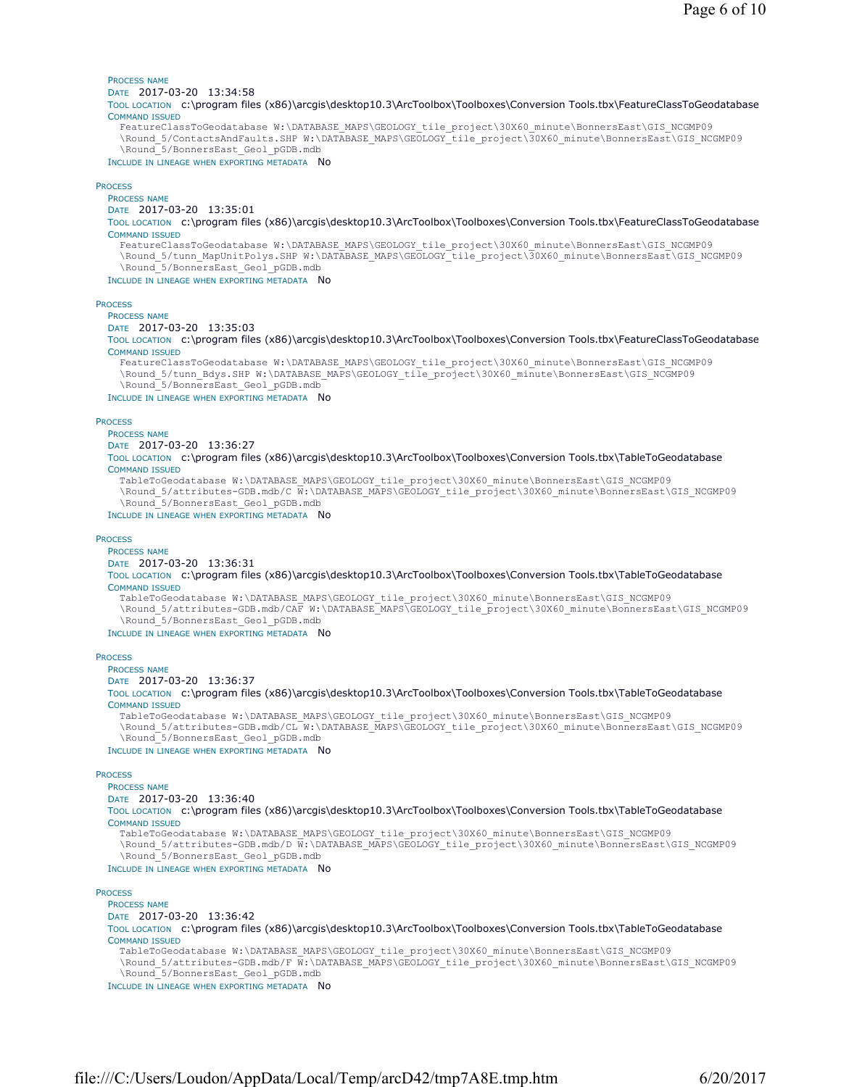PROCESS NAME

DATE 2017-03-20 13:34:58

TOOL LOCATION c:\program files (x86)\arcgis\desktop10.3\ArcToolbox\Toolboxes\Conversion Tools.tbx\FeatureClassToGeodatabase COMMAND ISSUED FeatureClassToGeodatabase W:\DATABASE\_MAPS\GEOLOGY\_tile\_project\30X60\_minute\BonnersEast\GIS\_NCGMP09

\Round\_5/ContactsAndFaults.SHP W:\DATABASE\_MAPS\GEOLOGY\_tile\_project\30X60\_minute\BonnersEast\GIS\_NCGMP09 \Round\_5/BonnersEast\_Geol\_pGDB.mdb

INCLUDE IN LINEAGE WHEN EXPORTING METADATA NO

## **PROCESS**

PROCESS NAME

# DATE 2017-03-20 13:35:01

TOOL LOCATION c:\program files (x86)\arcgis\desktop10.3\ArcToolbox\Toolboxes\Conversion Tools.tbx\FeatureClassToGeodatabase COMMAND ISSUED

FeatureClassToGeodatabase W:\DATABASE\_MAPS\GEOLOGY\_tile\_project\30X60\_minute\BonnersEast\GIS\_NCGMP09 \Round\_5/tunn\_MapUnitPolys.SHP W:\DATABASE\_MAPS\GEOLOGY\_tile\_project\30X60\_minute\BonnersEast\GIS\_NCGMP09 \Round\_5/BonnersEast\_Geol\_pGDB.mdb

## INCLUDE IN LINEAGE WHEN EXPORTING METADATA No

## **PROCESS**

PROCESS NAME

#### DATE 2017-03-20 13:35:03

TOOL LOCATION c:\program files (x86)\arcgis\desktop10.3\ArcToolbox\Toolboxes\Conversion Tools.tbx\FeatureClassToGeodatabase COMMAND ISSUED

FeatureClassToGeodatabase W:\DATABASE\_MAPS\GEOLOGY\_tile\_project\30X60\_minute\BonnersEast\GIS\_NCGMP09 \Round\_5/tunn\_Bdys.SHP W:\DATABASE\_MAPS\GEOLOGY\_tile\_project\30X60\_minute\BonnersEast\GIS\_NCGMP09 \Round\_5/BonnersEast\_Geol\_pGDB.mdb

INCLUDE IN LINEAGE WHEN EXPORTING METADATA NO

#### **PROCESS**

PROCESS NAME

## DATE 2017-03-20 13:36:27

TOOL LOCATION c:\program files (x86)\arcgis\desktop10.3\ArcToolbox\Toolboxes\Conversion Tools.tbx\TableToGeodatabase COMMAND ISSUED

TableToGeodatabase W:\DATABASE\_MAPS\GEOLOGY\_tile\_project\30X60\_minute\BonnersEast\GIS\_NCGMP09 \Round\_5/attributes-GDB.mdb/C W:\DATABASE\_MAPS\GEOLOGY\_tile\_project\30X60\_minute\BonnersEast\GIS\_NCGMP09 \Round\_5/BonnersEast\_Geol\_pGDB.mdb

### INCLUDE IN LINEAGE WHEN EXPORTING METADATA No

#### **PROCESS**

## PROCESS NAME

DATE 2017-03-20 13:36:31

#### TOOL LOCATION c:\program files (x86)\arcgis\desktop10.3\ArcToolbox\Toolboxes\Conversion Tools.tbx\TableToGeodatabase COMMAND ISSUED

TableToGeodatabase W:\DATABASE\_MAPS\GEOLOGY\_tile\_project\30X60\_minute\BonnersEast\GIS\_NCGMP09 \Round\_5/attributes-GDB.mdb/CAF W:\DATABASE\_MAPS\GEOLOGY\_tile\_project\30X60\_minute\BonnersEast\GIS\_NCGMP09 \Round\_5/BonnersEast\_Geol\_pGDB.mdb

## INCLUDE IN LINEAGE WHEN EXPORTING METADATA NO

### **PROCESS**

PROCESS NAME

#### DATE 2017-03-20 13:36:37

TOOL LOCATION c:\program files (x86)\arcgis\desktop10.3\ArcToolbox\Toolboxes\Conversion Tools.tbx\TableToGeodatabase COMMAND ISSUED

TableToGeodatabase W:\DATABASE\_MAPS\GEOLOGY\_tile\_project\30X60\_minute\BonnersEast\GIS\_NCGMP09 \Round\_5/attributes-GDB.mdb/CL W:\DATABASE\_MAPS\GEOLOGY\_tile\_project\30X60\_minute\BonnersEast\GIS\_NCGMP09 \Round\_5/BonnersEast\_Geol\_pGDB.mdb

INCLUDE IN LINEAGE WHEN EXPORTING METADATA NO

#### **PROCESS**

#### PROCESS NAME DATE 2017-03-20 13:36:40

#### TOOL LOCATION c:\program files (x86)\arcgis\desktop10.3\ArcToolbox\Toolboxes\Conversion Tools.tbx\TableToGeodatabase COMMAND ISSUED

TableToGeodatabase W:\DATABASE\_MAPS\GEOLOGY\_tile\_project\30X60\_minute\BonnersEast\GIS\_NCGMP09 \Round\_5/attributes-GDB.mdb/D W:\DATABASE\_MAPS\GEOLOGY\_tile\_project\30X60\_minute\BonnersEast\GIS\_NCGMP09 \Round\_5/BonnersEast\_Geol\_pGDB.mdb

### INCLUDE IN LINEAGE WHEN EXPORTING METADATA NO

## **PROCESS**

## PROCESS NAME

DATE 2017-03-20 13:36:42

TOOL LOCATION c:\program files (x86)\arcgis\desktop10.3\ArcToolbox\Toolboxes\Conversion Tools.tbx\TableToGeodatabase COMMAND ISSUED

TableToGeodatabase W:\DATABASE\_MAPS\GEOLOGY\_tile\_project\30X60\_minute\BonnersEast\GIS\_NCGMP09 \Round\_5/attributes-GDB.mdb/F W:\DATABASE\_MAPS\GEOLOGY\_tile\_project\30X60\_minute\BonnersEast\GIS\_NCGMP09

\Round\_5/BonnersEast\_Geol\_pGDB.mdb

INCLUDE IN LINEAGE WHEN EXPORTING METADATA NO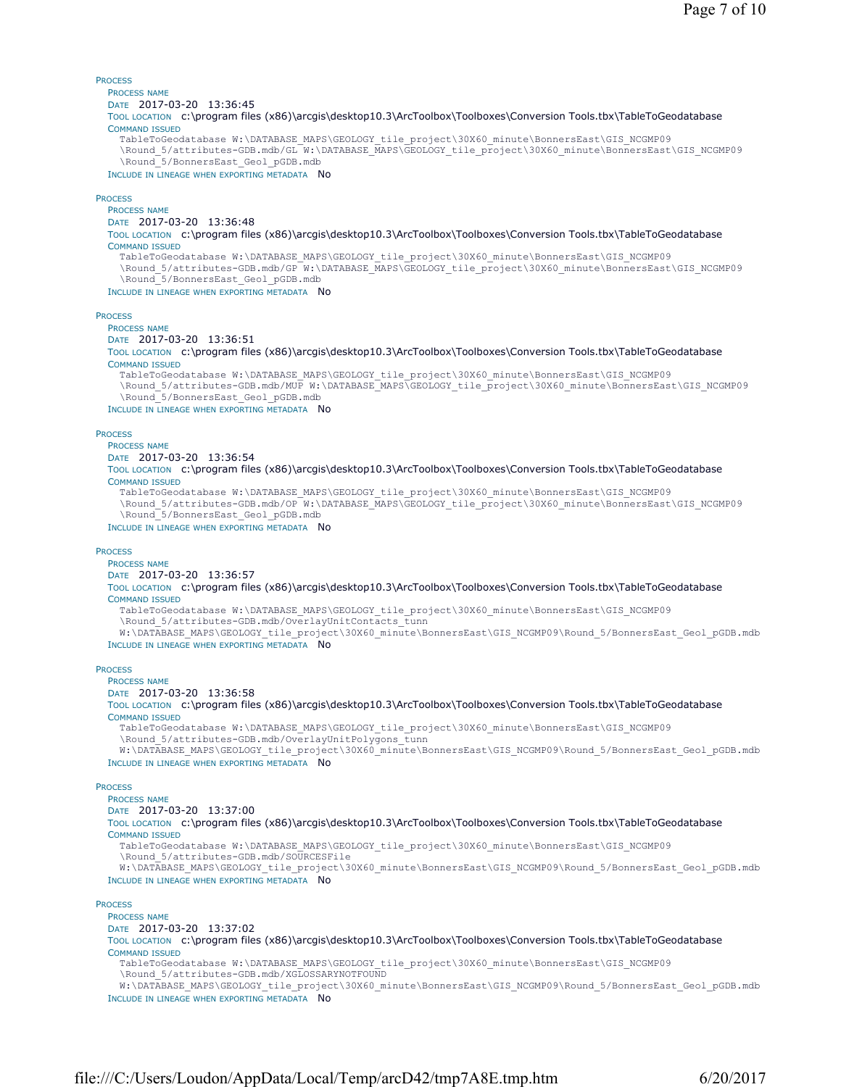## PROCESS

## PROCESS NAME

DATE 2017-03-20 13:36:45

TOOL LOCATION c:\program files (x86)\arcgis\desktop10.3\ArcToolbox\Toolboxes\Conversion Tools.tbx\TableToGeodatabase COMMAND ISSUED

TableToGeodatabase W:\DATABASE\_MAPS\GEOLOGY\_tile\_project\30X60\_minute\BonnersEast\GIS\_NCGMP09 \Round\_5/attributes-GDB.mdb/GL W:\DATABASE\_MAPS\GEOLOGY\_tile\_project\30X60\_minute\BonnersEast\GIS\_NCGMP09 \Round\_5/BonnersEast\_Geol\_pGDB.mdb

INCLUDE IN LINEAGE WHEN EXPORTING METADATA No

## **PROCESS**

PROCESS NAME DATE 2017-03-20 13:36:48

TOOL LOCATION c:\program files (x86)\arcgis\desktop10.3\ArcToolbox\Toolboxes\Conversion Tools.tbx\TableToGeodatabase COMMAND ISSUED

TableToGeodatabase W:\DATABASE\_MAPS\GEOLOGY\_tile\_project\30X60\_minute\BonnersEast\GIS\_NCGMP09 \Round\_5/attributes-GDB.mdb/GP W:\DATABASE\_MAPS\GEOLOGY\_tile\_project\30X60\_minute\BonnersEast\GIS\_NCGMP09 \Round\_5/BonnersEast\_Geol\_pGDB.mdb

INCLUDE IN LINEAGE WHEN EXPORTING METADATA NO

## **PROCESS**

PROCESS NAME

DATE 2017-03-20 13:36:51

TOOL LOCATION c:\program files (x86)\arcqis\desktop10.3\ArcToolbox\Toolboxes\Conversion Tools.tbx\TableToGeodatabase COMMAND ISSUED

TableToGeodatabase W:\DATABASE\_MAPS\GEOLOGY\_tile\_project\30X60\_minute\BonnersEast\GIS\_NCGMP09 \Round\_5/attributes-GDB.mdb/MUP W:\DATABASE\_MAPS\GEOLOGY\_tile\_project\30X60\_minute\BonnersEast\GIS\_NCGMP09 \Round\_5/BonnersEast\_Geol\_pGDB.mdb

INCLUDE IN LINEAGE WHEN EXPORTING METADATA No

**PROCESS** 

## PROCESS NAME

DATE 2017-03-20 13:36:54

TOOL LOCATION c:\program files (x86)\arcgis\desktop10.3\ArcToolbox\Toolboxes\Conversion Tools.tbx\TableToGeodatabase COMMAND ISSUED

TableToGeodatabase W:\DATABASE\_MAPS\GEOLOGY\_tile\_project\30X60\_minute\BonnersEast\GIS\_NCGMP09 \Round 5/attributes-GDB.mdb/OP W:\DATABASE MAPS\GEOLOGY tile project\30X60 minute\BonnersEast\GIS NCGMP09 \Round\_5/BonnersEast\_Geol\_pGDB.mdb

INCLUDE IN LINEAGE WHEN EXPORTING METADATA NO

## **PROCESS**

PROCESS NAME

DATE 2017-03-20 13:36:57

TOOL LOCATION c:\program files (x86)\arcgis\desktop10.3\ArcToolbox\Toolboxes\Conversion Tools.tbx\TableToGeodatabase COMMAND ISSUED

- TableToGeodatabase W:\DATABASE\_MAPS\GEOLOGY\_tile\_project\30X60\_minute\BonnersEast\GIS\_NCGMP09 \Round\_5/attributes-GDB.mdb/OverlayUnitContacts\_tunn
- W:\DATABASE\_MAPS\GEOLOGY\_tile\_project\30X60\_minute\BonnersEast\GIS\_NCGMP09\Round\_5/BonnersEast\_Geol\_pGDB.mdb

## INCLUDE IN LINEAGE WHEN EXPORTING METADATA NO

## **PROCESS**

PROCESS NAME

DATE 2017-03-20 13:36:58

TOOL LOCATION c:\program files (x86)\arcgis\desktop10.3\ArcToolbox\Toolboxes\Conversion Tools.tbx\TableToGeodatabase COMMAND ISSUED

TableToGeodatabase W:\DATABASE\_MAPS\GEOLOGY\_tile\_project\30X60\_minute\BonnersEast\GIS\_NCGMP09 \Round\_5/attributes-GDB.mdb/OverlayUnitPolygons\_tunn

W:\DATABASE\_MAPS\GEOLOGY\_tile\_project\30X60\_minute\BonnersEast\GIS\_NCGMP09\Round\_5/BonnersEast\_Geol\_pGDB.mdb INCLUDE IN LINEAGE WHEN EXPORTING METADATA NO

### **PROCESS**

PROCESS NAME

DATE 2017-03-20 13:37:00

TOOL LOCATION c:\program files (x86)\arcgis\desktop10.3\ArcToolbox\Toolboxes\Conversion Tools.tbx\TableToGeodatabase COMMAND ISSUED

TableToGeodatabase W:\DATABASE\_MAPS\GEOLOGY\_tile\_project\30X60\_minute\BonnersEast\GIS\_NCGMP09 \Round\_5/attributes-GDB.mdb/SOURCESFile

W:\DATABASE\_MAPS\GEOLOGY\_tile\_project\30X60\_minute\BonnersEast\GIS\_NCGMP09\Round\_5/BonnersEast\_Geol\_pGDB.mdb INCLUDE IN LINEAGE WHEN EXPORTING METADATA No

### **PROCESS**

PROCESS NAME

DATE 2017-03-20 13:37:02

TOOL LOCATION c:\program files (x86)\arcgis\desktop10.3\ArcToolbox\Toolboxes\Conversion Tools.tbx\TableToGeodatabase COMMAND ISSUED

TableToGeodatabase W:\DATABASE\_MAPS\GEOLOGY\_tile\_project\30X60\_minute\BonnersEast\GIS\_NCGMP09 \Round\_5/attributes-GDB.mdb/XGLOSSARYNOTFOUND

W:\DATABASE\_MAPS\GEOLOGY\_tile\_project\30X60\_minute\BonnersEast\GIS\_NCGMP09\Round\_5/BonnersEast\_Geol\_pGDB.mdb INCLUDE IN LINEAGE WHEN EXPORTING METADATA NO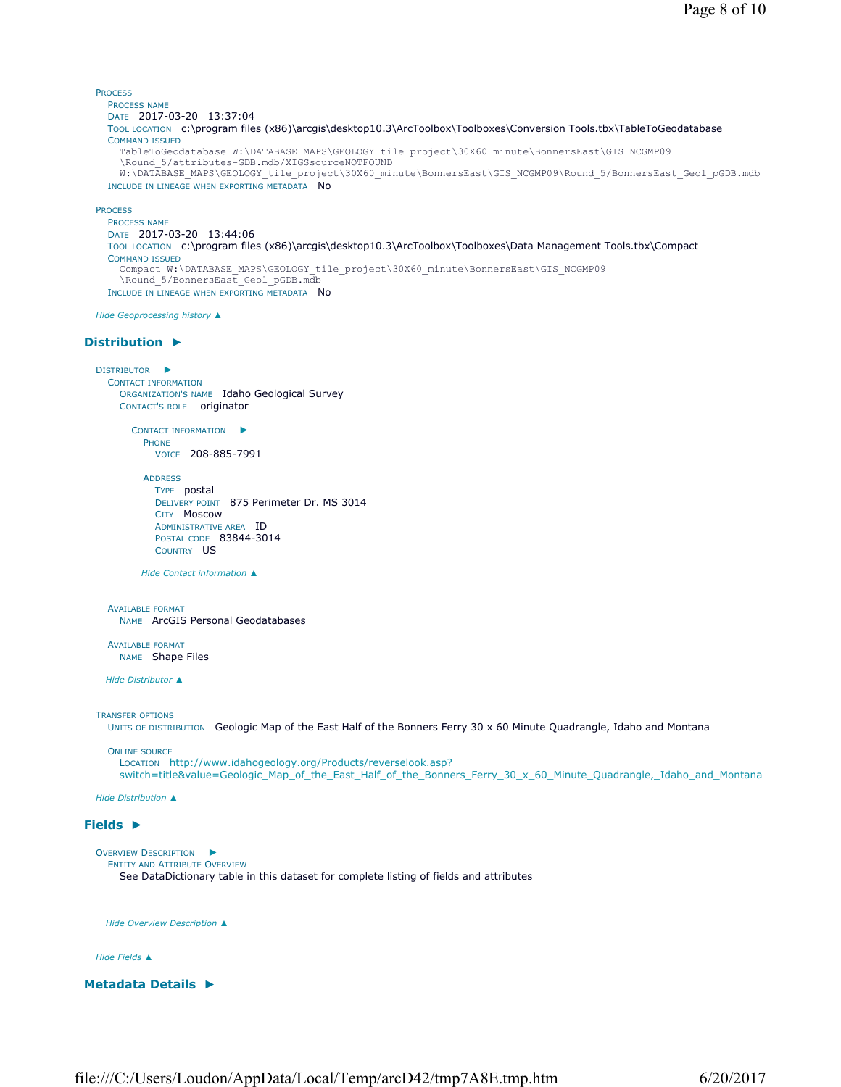```
PROCESS
  PROCESS NAME
  DATE 2017-03-20 13:37:04 
  TOOL LOCATION c:\program files (x86)\arcgis\desktop10.3\ArcToolbox\Toolboxes\Conversion Tools.tbx\TableToGeodatabase 
  COMMAND ISSUED
    TableToGeodatabase W:\DATABASE_MAPS\GEOLOGY_tile_project\30X60_minute\BonnersEast\GIS_NCGMP09
    \Round 5/attributes-GDB.mdb/XIGSsourceNOTFOUND
    W:\DATABASE_MAPS\GEOLOGY_tile_project\30X60_minute\BonnersEast\GIS_NCGMP09\Round_5/BonnersEast_Geol_pGDB.mdb
  INCLUDE IN LINEAGE WHEN EXPORTING METADATA No
```
PROCESS

```
PROCESS NAME
DATE 2017-03-20 13:44:06 
TOOL LOCATION c:\program files (x86)\arcgis\desktop10.3\ArcToolbox\Toolboxes\Data Management Tools.tbx\Compact 
COMMAND ISSUED
  Compact W:\DATABASE_MAPS\GEOLOGY_tile_project\30X60_minute\BonnersEast\GIS_NCGMP09
  \Round 5/BonnersEast Geol pGDB.mdb
INCLUDE IN LINEAGE WHEN EXPORTING METADATA No
```
*Hide Geoprocessing history ▲*

## **Distribution ►**

```
DISTRIBUTOR
►
 CONTACT INFORMATION
    ORGANIZATION'S NAME Idaho Geological Survey 
    CONTACT'S ROLE originator
```
CONTACT INFORMATION ► **PHONE** VOICE 208-885-7991

ADDRESS TYPE postal DELIVERY POINT 875 Perimeter Dr. MS 3014 CITY Moscow ADMINISTRATIVE AREA ID POSTAL CODE 83844-3014 COUNTRY US

*Hide Contact information ▲*

AVAILABLE FORMAT NAME ArcGIS Personal Geodatabases

AVAILABLE FORMAT NAME Shape Files

*Hide Distributor ▲*

TRANSFER OPTIONS

UNITS OF DISTRIBUTION Geologic Map of the East Half of the Bonners Ferry 30 x 60 Minute Quadrangle, Idaho and Montana

ONLINE SOURCE

LOCATION http://www.idahogeology.org/Products/reverselook.asp? switch=title&value=Geologic\_Map\_of\_the\_East\_Half\_of\_the\_Bonners\_Ferry\_30\_x\_60\_Minute\_Quadrangle,\_Idaho\_and\_Montana

*Hide Distribution ▲*

## **Fields ►**

```
OVERVIEW DESCRIPTION
►
 ENTITY AND ATTRIBUTE OVERVIEW
    See DataDictionary table in this dataset for complete listing of fields and attributes
```
*Hide Overview Description ▲*

### *Hide Fields ▲*

**Metadata Details ►**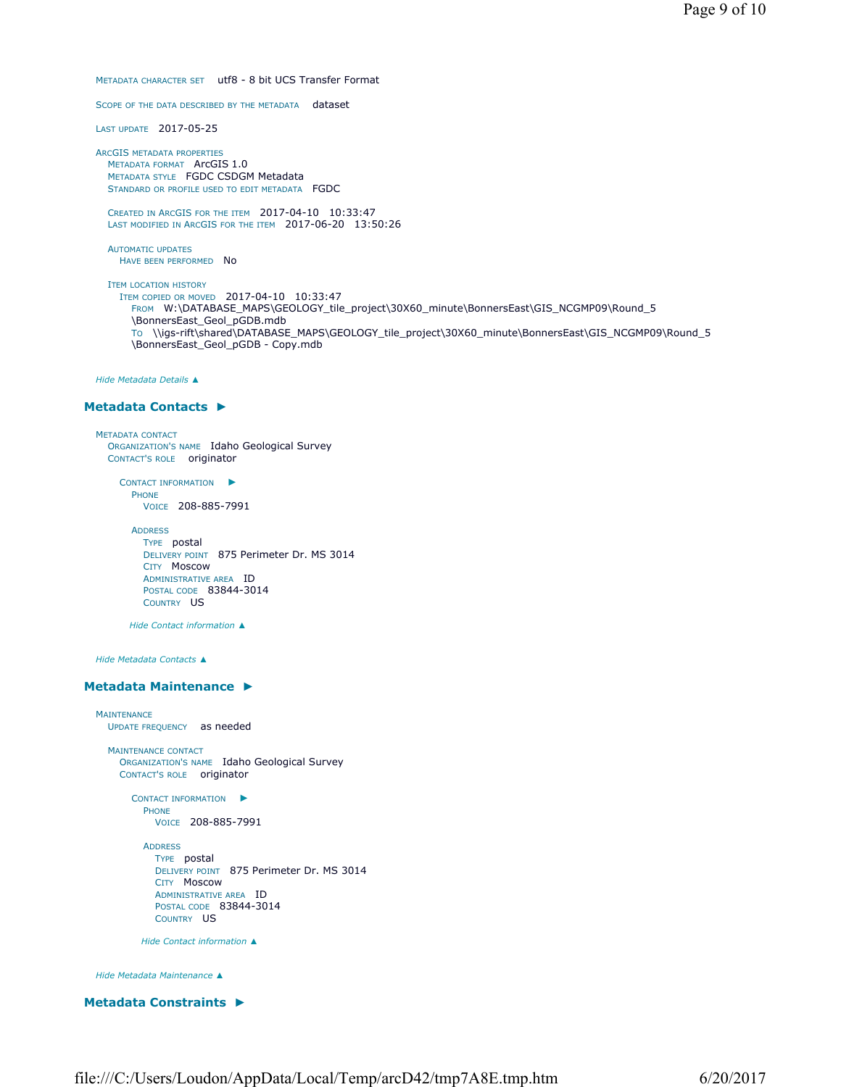METADATA CHARACTER SET utf8 - 8 bit UCS Transfer Format

SCOPE OF THE DATA DESCRIBED BY THE METADATA dataset

LAST UPDATE 2017-05-25

ARCGIS METADATA PROPERTIES METADATA FORMAT ArcGIS 1.0 METADATA STYLE FGDC CSDGM Metadata STANDARD OR PROFILE USED TO EDIT METADATA FGDC

CREATED IN ARCGIS FOR THE ITEM 2017-04-10 10:33:47 LAST MODIFIED IN ARCGIS FOR THE ITEM 2017-06-20 13:50:26

AUTOMATIC UPDATES HAVE BEEN PERFORMED NO

ITEM LOCATION HISTORY ITEM COPIED OR MOVED 2017-04-10 10:33:47 FROM W:\DATABASE\_MAPS\GEOLOGY\_tile\_project\30X60\_minute\BonnersEast\GIS\_NCGMP09\Round\_5 \BonnersEast\_Geol\_pGDB.mdb TO \\igs-rift\shared\DATABASE\_MAPS\GEOLOGY\_tile\_project\30X60\_minute\BonnersEast\GIS\_NCGMP09\Round\_5 \BonnersEast\_Geol\_pGDB - Copy.mdb

*Hide Metadata Details ▲*

## **Metadata Contacts ►**

```
METADATA CONTACT
  ORGANIZATION'S NAME Idaho Geological Survey 
  CONTACT'S ROLE originator
```
CONTACT INFORMATION ► PHONE VOICE 208-885-7991

ADDRESS TYPE postal DELIVERY POINT 875 Perimeter Dr. MS 3014 CITY Moscow ADMINISTRATIVE AREA ID POSTAL CODE 83844-3014 COUNTRY US

*Hide Contact information ▲*

*Hide Metadata Contacts ▲*

## **Metadata Maintenance ►**

```
MAINTENANCE
 UPDATE FREQUENCY as needed
  MAINTENANCE CONTACT
    ORGANIZATION'S NAME Idaho Geological Survey 
    CONTACT'S ROLE originator
       CONTACT INFORMATION
►
        PHONE
           VOICE 208-885-7991
         ADDRESS
           TYPE postal 
           DELIVERY POINT 875 Perimeter Dr. MS 3014 
           CITY Moscow 
           ADMINISTRATIVE AREA ID 
           POSTAL CODE 83844-3014 
           COUNTRY US
        Hide Contact information ▲
```
*Hide Metadata Maintenance ▲*

## **Metadata Constraints ►**